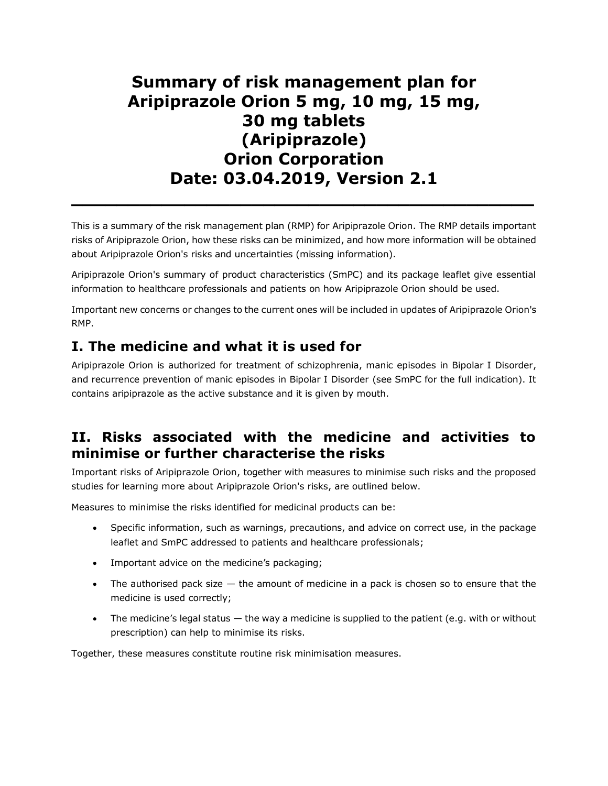# **Summary of risk management plan for Aripiprazole Orion 5 mg, 10 mg, 15 mg, 30 mg tablets (Aripiprazole) Orion Corporation Date: 03.04.2019, Version 2.1**

This is a summary of the risk management plan (RMP) for Aripiprazole Orion. The RMP details important risks of Aripiprazole Orion, how these risks can be minimized, and how more information will be obtained about Aripiprazole Orion's risks and uncertainties (missing information).

**\_\_\_\_\_\_\_\_\_\_\_\_\_\_\_\_\_\_\_\_\_\_\_\_\_\_\_\_\_\_\_\_\_\_\_\_\_\_\_\_\_**

Aripiprazole Orion's summary of product characteristics (SmPC) and its package leaflet give essential information to healthcare professionals and patients on how Aripiprazole Orion should be used.

Important new concerns or changes to the current ones will be included in updates of Aripiprazole Orion's RMP.

## **I. The medicine and what it is used for**

Aripiprazole Orion is authorized for treatment of schizophrenia, manic episodes in Bipolar I Disorder, and recurrence prevention of manic episodes in Bipolar I Disorder (see SmPC for the full indication). It contains aripiprazole as the active substance and it is given by mouth.

### **II. Risks associated with the medicine and activities to minimise or further characterise the risks**

Important risks of Aripiprazole Orion, together with measures to minimise such risks and the proposed studies for learning more about Aripiprazole Orion's risks, are outlined below.

Measures to minimise the risks identified for medicinal products can be:

- Specific information, such as warnings, precautions, and advice on correct use, in the package leaflet and SmPC addressed to patients and healthcare professionals;
- Important advice on the medicine's packaging;
- The authorised pack size the amount of medicine in a pack is chosen so to ensure that the medicine is used correctly;
- $\bullet$  The medicine's legal status  $-$  the way a medicine is supplied to the patient (e.g. with or without prescription) can help to minimise its risks.

Together, these measures constitute routine risk minimisation measures.